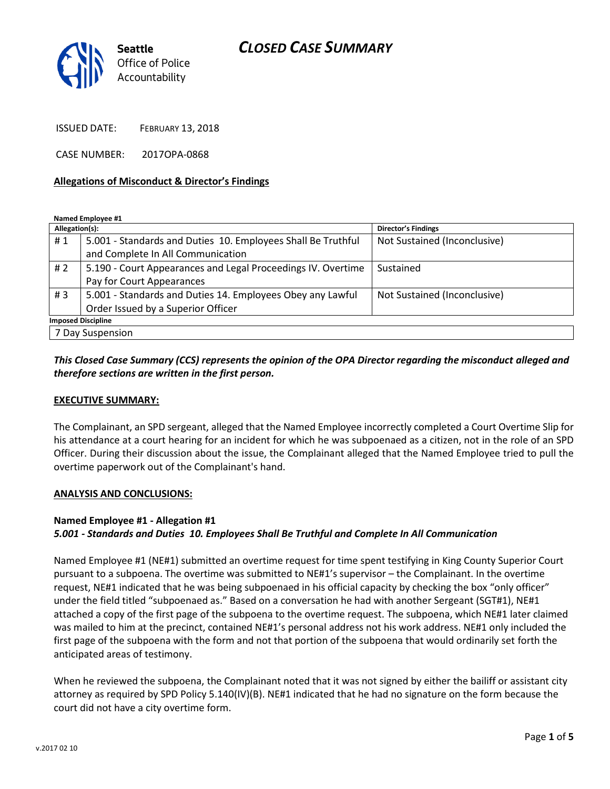# *CLOSED CASE SUMMARY*



ISSUED DATE: FEBRUARY 13, 2018

CASE NUMBER: 2017OPA-0868

### **Allegations of Misconduct & Director's Findings**

**Named Employee #1**

| Allegation(s):            |                                                              | Director's Findings          |
|---------------------------|--------------------------------------------------------------|------------------------------|
| #1                        | 5.001 - Standards and Duties 10. Employees Shall Be Truthful | Not Sustained (Inconclusive) |
|                           | and Complete In All Communication                            |                              |
| #2                        | 5.190 - Court Appearances and Legal Proceedings IV. Overtime | Sustained                    |
|                           | Pay for Court Appearances                                    |                              |
| #3                        | 5.001 - Standards and Duties 14. Employees Obey any Lawful   | Not Sustained (Inconclusive) |
|                           | Order Issued by a Superior Officer                           |                              |
| <b>Imposed Discipline</b> |                                                              |                              |
| 7 Day Suspension          |                                                              |                              |

### *This Closed Case Summary (CCS) represents the opinion of the OPA Director regarding the misconduct alleged and therefore sections are written in the first person.*

### **EXECUTIVE SUMMARY:**

The Complainant, an SPD sergeant, alleged that the Named Employee incorrectly completed a Court Overtime Slip for his attendance at a court hearing for an incident for which he was subpoenaed as a citizen, not in the role of an SPD Officer. During their discussion about the issue, the Complainant alleged that the Named Employee tried to pull the overtime paperwork out of the Complainant's hand.

#### **ANALYSIS AND CONCLUSIONS:**

#### **Named Employee #1 - Allegation #1**

#### *5.001 - Standards and Duties 10. Employees Shall Be Truthful and Complete In All Communication*

Named Employee #1 (NE#1) submitted an overtime request for time spent testifying in King County Superior Court pursuant to a subpoena. The overtime was submitted to NE#1's supervisor – the Complainant. In the overtime request, NE#1 indicated that he was being subpoenaed in his official capacity by checking the box "only officer" under the field titled "subpoenaed as." Based on a conversation he had with another Sergeant (SGT#1), NE#1 attached a copy of the first page of the subpoena to the overtime request. The subpoena, which NE#1 later claimed was mailed to him at the precinct, contained NE#1's personal address not his work address. NE#1 only included the first page of the subpoena with the form and not that portion of the subpoena that would ordinarily set forth the anticipated areas of testimony.

When he reviewed the subpoena, the Complainant noted that it was not signed by either the bailiff or assistant city attorney as required by SPD Policy 5.140(IV)(B). NE#1 indicated that he had no signature on the form because the court did not have a city overtime form.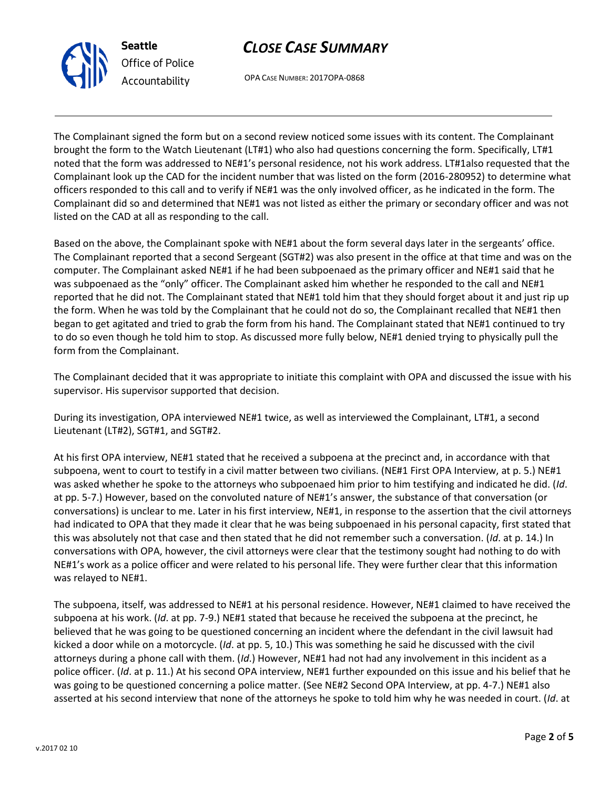



OPA CASE NUMBER: 2017OPA-0868

The Complainant signed the form but on a second review noticed some issues with its content. The Complainant brought the form to the Watch Lieutenant (LT#1) who also had questions concerning the form. Specifically, LT#1 noted that the form was addressed to NE#1's personal residence, not his work address. LT#1also requested that the Complainant look up the CAD for the incident number that was listed on the form (2016-280952) to determine what officers responded to this call and to verify if NE#1 was the only involved officer, as he indicated in the form. The Complainant did so and determined that NE#1 was not listed as either the primary or secondary officer and was not listed on the CAD at all as responding to the call.

Based on the above, the Complainant spoke with NE#1 about the form several days later in the sergeants' office. The Complainant reported that a second Sergeant (SGT#2) was also present in the office at that time and was on the computer. The Complainant asked NE#1 if he had been subpoenaed as the primary officer and NE#1 said that he was subpoenaed as the "only" officer. The Complainant asked him whether he responded to the call and NE#1 reported that he did not. The Complainant stated that NE#1 told him that they should forget about it and just rip up the form. When he was told by the Complainant that he could not do so, the Complainant recalled that NE#1 then began to get agitated and tried to grab the form from his hand. The Complainant stated that NE#1 continued to try to do so even though he told him to stop. As discussed more fully below, NE#1 denied trying to physically pull the form from the Complainant.

The Complainant decided that it was appropriate to initiate this complaint with OPA and discussed the issue with his supervisor. His supervisor supported that decision.

During its investigation, OPA interviewed NE#1 twice, as well as interviewed the Complainant, LT#1, a second Lieutenant (LT#2), SGT#1, and SGT#2.

At his first OPA interview, NE#1 stated that he received a subpoena at the precinct and, in accordance with that subpoena, went to court to testify in a civil matter between two civilians. (NE#1 First OPA Interview, at p. 5.) NE#1 was asked whether he spoke to the attorneys who subpoenaed him prior to him testifying and indicated he did. (*Id*. at pp. 5-7.) However, based on the convoluted nature of NE#1's answer, the substance of that conversation (or conversations) is unclear to me. Later in his first interview, NE#1, in response to the assertion that the civil attorneys had indicated to OPA that they made it clear that he was being subpoenaed in his personal capacity, first stated that this was absolutely not that case and then stated that he did not remember such a conversation. (*Id*. at p. 14.) In conversations with OPA, however, the civil attorneys were clear that the testimony sought had nothing to do with NE#1's work as a police officer and were related to his personal life. They were further clear that this information was relayed to NE#1.

The subpoena, itself, was addressed to NE#1 at his personal residence. However, NE#1 claimed to have received the subpoena at his work. (*Id*. at pp. 7-9.) NE#1 stated that because he received the subpoena at the precinct, he believed that he was going to be questioned concerning an incident where the defendant in the civil lawsuit had kicked a door while on a motorcycle. (*Id*. at pp. 5, 10.) This was something he said he discussed with the civil attorneys during a phone call with them. (*Id*.) However, NE#1 had not had any involvement in this incident as a police officer. (*Id*. at p. 11.) At his second OPA interview, NE#1 further expounded on this issue and his belief that he was going to be questioned concerning a police matter. (See NE#2 Second OPA Interview, at pp. 4-7.) NE#1 also asserted at his second interview that none of the attorneys he spoke to told him why he was needed in court. (*Id*. at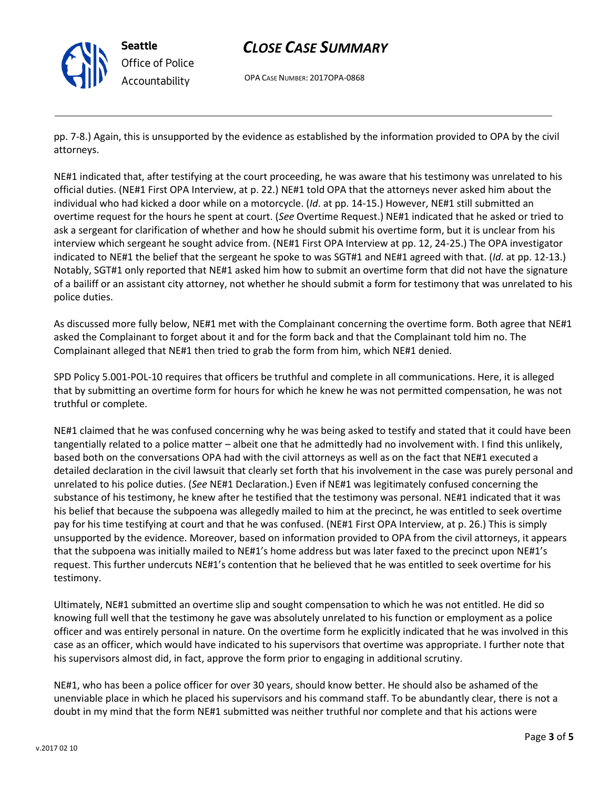

# *CLOSE CASE SUMMARY*

OPA CASE NUMBER: 2017OPA-0868

pp. 7-8.) Again, this is unsupported by the evidence as established by the information provided to OPA by the civil attorneys.

NE#1 indicated that, after testifying at the court proceeding, he was aware that his testimony was unrelated to his official duties. (NE#1 First OPA Interview, at p. 22.) NE#1 told OPA that the attorneys never asked him about the individual who had kicked a door while on a motorcycle. (*Id*. at pp. 14-15.) However, NE#1 still submitted an overtime request for the hours he spent at court. (*See* Overtime Request.) NE#1 indicated that he asked or tried to ask a sergeant for clarification of whether and how he should submit his overtime form, but it is unclear from his interview which sergeant he sought advice from. (NE#1 First OPA Interview at pp. 12, 24-25.) The OPA investigator indicated to NE#1 the belief that the sergeant he spoke to was SGT#1 and NE#1 agreed with that. (*Id*. at pp. 12-13.) Notably, SGT#1 only reported that NE#1 asked him how to submit an overtime form that did not have the signature of a bailiff or an assistant city attorney, not whether he should submit a form for testimony that was unrelated to his police duties.

As discussed more fully below, NE#1 met with the Complainant concerning the overtime form. Both agree that NE#1 asked the Complainant to forget about it and for the form back and that the Complainant told him no. The Complainant alleged that NE#1 then tried to grab the form from him, which NE#1 denied.

SPD Policy 5.001-POL-10 requires that officers be truthful and complete in all communications. Here, it is alleged that by submitting an overtime form for hours for which he knew he was not permitted compensation, he was not truthful or complete.

NE#1 claimed that he was confused concerning why he was being asked to testify and stated that it could have been tangentially related to a police matter – albeit one that he admittedly had no involvement with. I find this unlikely, based both on the conversations OPA had with the civil attorneys as well as on the fact that NE#1 executed a detailed declaration in the civil lawsuit that clearly set forth that his involvement in the case was purely personal and unrelated to his police duties. (*See* NE#1 Declaration.) Even if NE#1 was legitimately confused concerning the substance of his testimony, he knew after he testified that the testimony was personal. NE#1 indicated that it was his belief that because the subpoena was allegedly mailed to him at the precinct, he was entitled to seek overtime pay for his time testifying at court and that he was confused. (NE#1 First OPA Interview, at p. 26.) This is simply unsupported by the evidence. Moreover, based on information provided to OPA from the civil attorneys, it appears that the subpoena was initially mailed to NE#1's home address but was later faxed to the precinct upon NE#1's request. This further undercuts NE#1's contention that he believed that he was entitled to seek overtime for his testimony.

Ultimately, NE#1 submitted an overtime slip and sought compensation to which he was not entitled. He did so knowing full well that the testimony he gave was absolutely unrelated to his function or employment as a police officer and was entirely personal in nature. On the overtime form he explicitly indicated that he was involved in this case as an officer, which would have indicated to his supervisors that overtime was appropriate. I further note that his supervisors almost did, in fact, approve the form prior to engaging in additional scrutiny.

NE#1, who has been a police officer for over 30 years, should know better. He should also be ashamed of the unenviable place in which he placed his supervisors and his command staff. To be abundantly clear, there is not a doubt in my mind that the form NE#1 submitted was neither truthful nor complete and that his actions were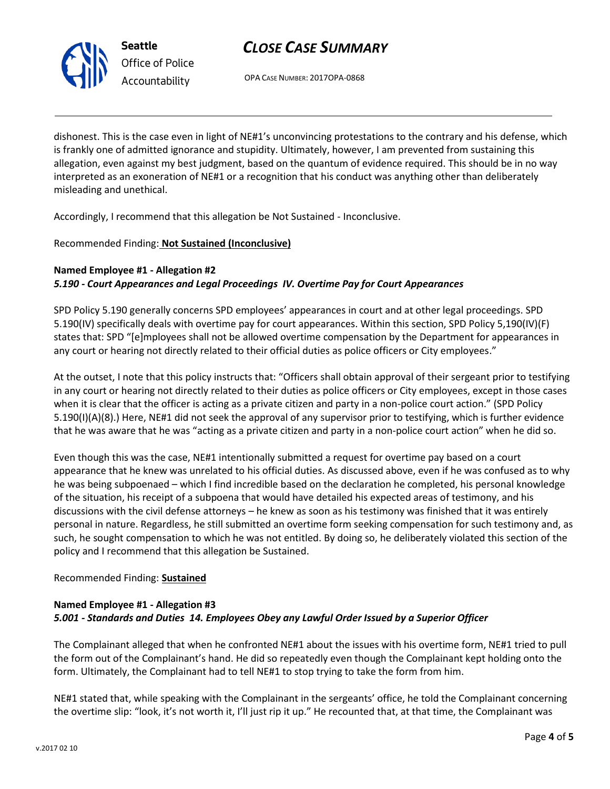

# *CLOSE CASE SUMMARY*

OPA CASE NUMBER: 2017OPA-0868

dishonest. This is the case even in light of NE#1's unconvincing protestations to the contrary and his defense, which is frankly one of admitted ignorance and stupidity. Ultimately, however, I am prevented from sustaining this allegation, even against my best judgment, based on the quantum of evidence required. This should be in no way interpreted as an exoneration of NE#1 or a recognition that his conduct was anything other than deliberately misleading and unethical.

Accordingly, I recommend that this allegation be Not Sustained - Inconclusive.

### Recommended Finding: **Not Sustained (Inconclusive)**

### **Named Employee #1 - Allegation #2** *5.190 - Court Appearances and Legal Proceedings IV. Overtime Pay for Court Appearances*

SPD Policy 5.190 generally concerns SPD employees' appearances in court and at other legal proceedings. SPD 5.190(IV) specifically deals with overtime pay for court appearances. Within this section, SPD Policy 5,190(IV)(F) states that: SPD "[e]mployees shall not be allowed overtime compensation by the Department for appearances in any court or hearing not directly related to their official duties as police officers or City employees."

At the outset, I note that this policy instructs that: "Officers shall obtain approval of their sergeant prior to testifying in any court or hearing not directly related to their duties as police officers or City employees, except in those cases when it is clear that the officer is acting as a private citizen and party in a non-police court action." (SPD Policy 5.190(I)(A)(8).) Here, NE#1 did not seek the approval of any supervisor prior to testifying, which is further evidence that he was aware that he was "acting as a private citizen and party in a non-police court action" when he did so.

Even though this was the case, NE#1 intentionally submitted a request for overtime pay based on a court appearance that he knew was unrelated to his official duties. As discussed above, even if he was confused as to why he was being subpoenaed – which I find incredible based on the declaration he completed, his personal knowledge of the situation, his receipt of a subpoena that would have detailed his expected areas of testimony, and his discussions with the civil defense attorneys – he knew as soon as his testimony was finished that it was entirely personal in nature. Regardless, he still submitted an overtime form seeking compensation for such testimony and, as such, he sought compensation to which he was not entitled. By doing so, he deliberately violated this section of the policy and I recommend that this allegation be Sustained.

### Recommended Finding: **Sustained**

## **Named Employee #1 - Allegation #3** *5.001 - Standards and Duties 14. Employees Obey any Lawful Order Issued by a Superior Officer*

The Complainant alleged that when he confronted NE#1 about the issues with his overtime form, NE#1 tried to pull the form out of the Complainant's hand. He did so repeatedly even though the Complainant kept holding onto the form. Ultimately, the Complainant had to tell NE#1 to stop trying to take the form from him.

NE#1 stated that, while speaking with the Complainant in the sergeants' office, he told the Complainant concerning the overtime slip: "look, it's not worth it, I'll just rip it up." He recounted that, at that time, the Complainant was